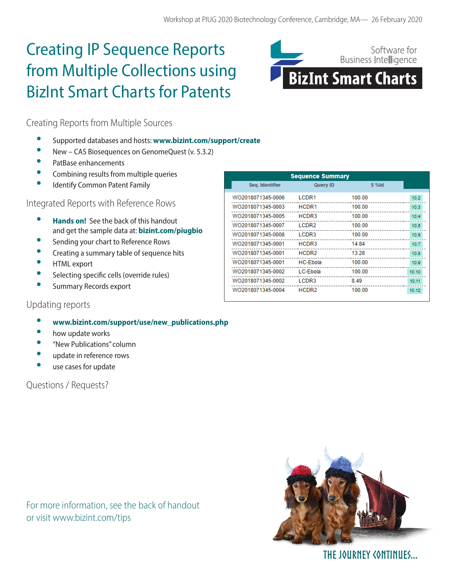# Creating IP Sequence Reports from Multiple Collections using BizInt Smart Charts for Patents



Creating Reports from Multiple Sources

- Supported databases and hosts: **www.bizint.com/support/create**
- New CAS Biosequences on GenomeQuest (v. 5.3.2)
- PatBase enhancements
- Combining results from multiple queries
- Identify Common Patent Family

## Integrated Reports with Reference Rows

- **Hands on!** See the back of this handout and get the sample data at: **bizint.com/piugbio**
- Sending your chart to Reference Rows
- Creating a summary table of sequence hits
- HTML export
- Selecting specific cells (override rules)
- Summary Records export

# Updating reports

- **www.bizint.com/support/use/new\_publications.php**
- how update works
- "New Publications" column
- update in reference rows
- use cases for update

Questions / Requests?

For more information, see the back of handout or visit www.bizint.com/tips



|  | THE JOURNEY CONTINUES |  |
|--|-----------------------|--|
|  |                       |  |

| <b>Sequence Summary</b> |                   |                   |        |       |  |
|-------------------------|-------------------|-------------------|--------|-------|--|
|                         | Seg. Identifier   | Query ID          | S %ld  |       |  |
|                         | WO2018071345-0006 | LCDR <sub>1</sub> | 100.00 | 10.2  |  |
|                         | WO2018071345-0003 | HCDR <sub>1</sub> | 100.00 | 10.3  |  |
|                         | WO2018071345-0005 | HCDR3             | 100.00 | 10.4  |  |
|                         | WO2018071345-0007 | LCDR <sub>2</sub> | 100.00 | 10.5  |  |
|                         | WO2018071345-0008 | LCDR3             | 100.00 | 10.6  |  |
|                         | WO2018071345-0001 | HCDR3             | 14.84  | 10.7  |  |
|                         | WO2018071345-0001 | HCDR <sub>2</sub> | 13.28  | 10.8  |  |
|                         | WO2018071345-0001 | <b>HC-Ebola</b>   | 100.00 | 10.9  |  |
|                         | WO2018071345-0002 | LC-Ebola          | 100.00 | 10.10 |  |
|                         | WO2018071345-0002 | LCDR3             | 849    | 10.11 |  |
|                         | WO2018071345-0004 | HCDR <sub>2</sub> | 100.00 | 10.12 |  |
|                         |                   |                   |        |       |  |